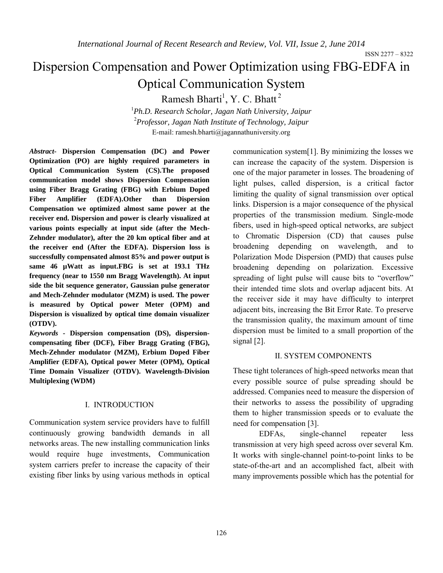ISSN 2277 – 8322

# Dispersion Compensation and Power Optimization using FBG-EDFA in Optical Communication System

Ramesh Bharti<sup>1</sup>, Y. C. Bhatt<sup>2</sup>

1 *Ph.D. Research Scholar, Jagan Nath University, Jaipur* 2 *Professor, Jagan Nath Institute of Technology, Jaipur* E-mail: ramesh.bharti@jagannathuniversity.org

*Abstract-* **Dispersion Compensation (DC) and Power Optimization (PO) are highly required parameters in Optical Communication System (CS).The proposed communication model shows Dispersion Compensation using Fiber Bragg Grating (FBG) with Erbium Doped Fiber Amplifier (EDFA).Other than Dispersion Compensation we optimized almost same power at the receiver end. Dispersion and power is clearly visualized at various points especially at input side (after the Mech-Zehnder modulator), after the 20 km optical fiber and at the receiver end (After the EDFA). Dispersion loss is successfully compensated almost 85% and power output is same 46 µWatt as input.FBG is set at 193.1 THz frequency (near to 1550 nm Bragg Wavelength). At input side the bit sequence generator, Gaussian pulse generator and Mech-Zehnder modulator (MZM) is used. The power is measured by Optical power Meter (OPM) and Dispersion is visualized by optical time domain visualizer (OTDV).**

*Keywords* **- Dispersion compensation (DS), dispersioncompensating fiber (DCF), Fiber Bragg Grating (FBG), Mech-Zehnder modulator (MZM), Erbium Doped Fiber Amplifier (EDFA), Optical power Meter (OPM), Optical Time Domain Visualizer (OTDV). Wavelength-Division Multiplexing (WDM)**

### I. INTRODUCTION

Communication system service providers have to fulfill continuously growing bandwidth demands in all networks areas. The new installing communication links would require huge investments, Communication system carriers prefer to increase the capacity of their existing fiber links by using various methods in optical communication system[1]. By minimizing the losses we can increase the capacity of the system. Dispersion is one of the major parameter in losses. The broadening of light pulses, called dispersion, is a critical factor limiting the quality of signal transmission over optical links. Dispersion is a major consequence of the physical properties of the transmission medium. Single-mode fibers, used in high-speed optical networks, are subject to Chromatic Dispersion (CD) that causes pulse broadening depending on wavelength, and to Polarization Mode Dispersion (PMD) that causes pulse broadening depending on polarization. Excessive spreading of light pulse will cause bits to "overflow" their intended time slots and overlap adjacent bits. At the receiver side it may have difficulty to interpret adjacent bits, increasing the Bit Error Rate. To preserve the transmission quality, the maximum amount of time dispersion must be limited to a small proportion of the signal [2].

## II. SYSTEM COMPONENTS

These tight tolerances of high-speed networks mean that every possible source of pulse spreading should be addressed. Companies need to measure the dispersion of their networks to assess the possibility of upgrading them to higher transmission speeds or to evaluate the need for compensation [3].

EDFAs, single-channel repeater less transmission at very high speed across over several Km. It works with single-channel point-to-point links to be state-of-the-art and an accomplished fact, albeit with many improvements possible which has the potential for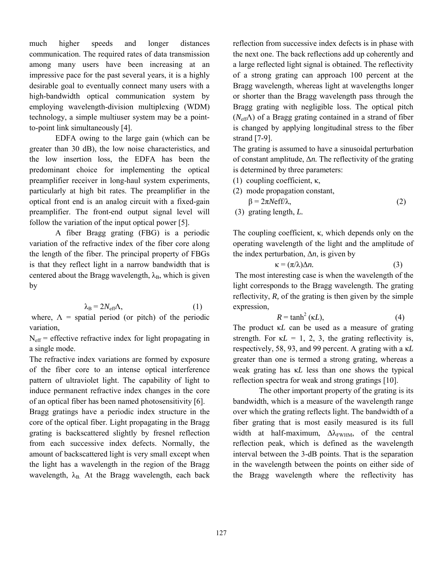much higher speeds and longer distances communication. The required rates of data transmission among many users have been increasing at an impressive pace for the past several years, it is a highly desirable goal to eventually connect many users with a high-bandwidth optical communication system by employing wavelength-division multiplexing (WDM) technology, a simple multiuser system may be a pointto-point link simultaneously [4].

EDFA owing to the large gain (which can be greater than 30 dB), the low noise characteristics, and the low insertion loss, the EDFA has been the predominant choice for implementing the optical preamplifier receiver in long-haul system experiments, particularly at high bit rates. The preamplifier in the optical front end is an analog circuit with a fixed-gain preamplifier. The front-end output signal level will follow the variation of the input optical power [5].

A fiber Bragg grating (FBG) is a periodic variation of the refractive index of the fiber core along the length of the fiber. The principal property of FBGs is that they reflect light in a narrow bandwidth that is centered about the Bragg wavelength,  $\lambda_B$ , which is given by

$$
\lambda_{\rm B} = 2N_{\rm eff} \Lambda, \tag{1}
$$

where,  $\Lambda$  = spatial period (or pitch) of the periodic variation,

 $N<sub>eff</sub>$  = effective refractive index for light propagating in a single mode.

The refractive index variations are formed by exposure of the fiber core to an intense optical interference pattern of ultraviolet light. The capability of light to induce permanent refractive index changes in the core of an optical fiber has been named photosensitivity [6].

Bragg gratings have a periodic index structure in the core of the optical fiber. Light propagating in the Bragg grating is backscattered slightly by fresnel reflection from each successive index defects. Normally, the amount of backscattered light is very small except when the light has a wavelength in the region of the Bragg wavelength,  $\lambda_B$ . At the Bragg wavelength, each back reflection from successive index defects is in phase with the next one. The back reflections add up coherently and a large reflected light signal is obtained. The reflectivity of a strong grating can approach 100 percent at the Bragg wavelength, whereas light at wavelengths longer or shorter than the Bragg wavelength pass through the Bragg grating with negligible loss. The optical pitch (*N*effΛ) of a Bragg grating contained in a strand of fiber is changed by applying longitudinal stress to the fiber strand [7-9].

The grating is assumed to have a sinusoidal perturbation of constant amplitude, Δ*n.* The reflectivity of the grating is determined by three parameters:

(1) coupling coefficient, κ,

- (2) mode propagation constant,  $\beta = 2\pi \text{Neff}/\lambda,$  (2)
- (3) grating length, *L.*

The coupling coefficient, κ, which depends only on the operating wavelength of the light and the amplitude of the index perturbation,  $\Delta n$ , is given by

$$
\kappa = (\pi/\lambda)\Delta n. \tag{3}
$$

The most interesting case is when the wavelength of the light corresponds to the Bragg wavelength. The grating reflectivity, *R,* of the grating is then given by the simple expression,

$$
R = \tanh^2\left(\kappa L\right),\tag{4}
$$

The product κ*L* can be used as a measure of grating strength. For  $\kappa L = 1, 2, 3$ , the grating reflectivity is, respectively, 58, 93, and 99 percent. A grating with a κ*L*  greater than one is termed a strong grating, whereas a weak grating has κ*L* less than one shows the typical reflection spectra for weak and strong gratings [10].

The other important property of the grating is its bandwidth, which is a measure of the wavelength range over which the grating reflects light. The bandwidth of a fiber grating that is most easily measured is its full width at half-maximum,  $\Delta \lambda_{\text{FWHM}}$ , of the central reflection peak, which is defined as the wavelength interval between the 3-dB points. That is the separation in the wavelength between the points on either side of the Bragg wavelength where the reflectivity has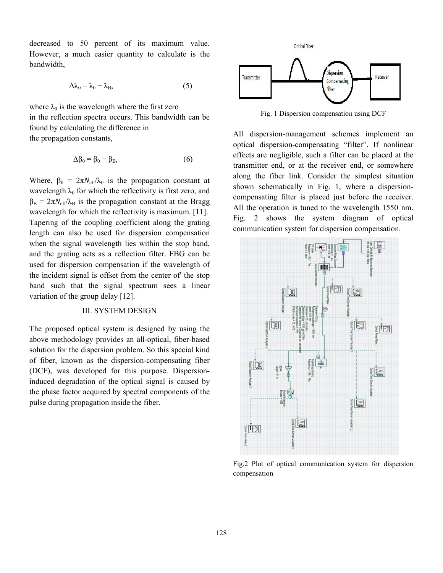decreased to 50 percent of its maximum value. However, a much easier quantity to calculate is the bandwidth, 50 percent of its maximum value.<br>
uch easier quantity to calculate is the<br>  $\lambda_0 = \lambda_0 - \lambda_B,$  (5)

$$
\Delta\lambda_0 = \lambda_0 - \lambda_B, \tag{5}
$$

where  $\lambda_0$  is the wavelength where the first zero in the reflection spectra occurs. This bandwidth can be found by calculating the difference in the propagation constants, avelength where the first zero<br>spectra occurs. This bandwidth can be<br>ing the difference in<br>onstants,<br> $\beta = \beta_0 - \beta_B$ , (6)

$$
\Delta \beta_0 = \beta_0 - \beta_{\rm B},\tag{6}
$$

Where,  $\beta_0 = 2\pi N_{\text{eff}}/\lambda_0$  is the propagation constant at wavelength  $\lambda_0$  for which the reflectivity is first zero, and wavelength  $\lambda_0$  for which the reflectivity is first zero, and  $\beta_B = 2\pi N_{\text{eff}}/\lambda_B$  is the propagation constant at the Bragg wavelength for which the reflectivity is maximum. [11]. Tapering of the coupling coefficient along the grating length can also be used for dispersion compensation when the signal wavelength lies within the stop band, when the signal wavelength lies within the stop band, and the grating acts as a reflection filter. FBG can be used for dispersion compensation if the wavelength of the incident signal is offset from the center of' the stop band such that the signal spectrum sees a linear variation of the group delay [12]. dependent if the wavelength of<br>the signal is offset from the center of the stop<br>the that the signal spectrum sees a linear<br>of the group delay [12].<br>III. SYSTEM DESIGN<br>osed optical system is designed by using the<br>thodology

#### III. SYSTEM DESIGN

The proposed optical system is designed by using the above methodology provides an all-optical, solution for the dispersion problem. So this special kind of fiber, known as the dispersion-compensating fiber (DCF), was developed for this purpose. Dispersion-(DCF), was developed for this purpose. induced degradation of the optical signal is caused by the phase factor acquired by spectral components of the pulse during propagation inside the fiber.



All dispersion-management schemes implement an Fig. 1 Dispersion compensation using DCF<br>All dispersion-management schemes implement an<br>optical dispersion-compensating "filter". If nonlinear effects are negligible, such a filter can be placed at the transmitter end, or at the receiver end, or somewhere along the fiber link. Consider the simplest situation shown schematically in Fig. 1, where a dispersioncompensating filter is placed just before the receiver. All the operation is tuned to the wavelength 1550 nm. compensating filter is placed just before the receiver.<br>
All the operation is tuned to the wavelength 1550 nm.<br>
Fig. 2 shows the system diagram of optical communication system for dispersion compensation. effects are negligible, such a filter can be placed at the transmitter end, or at the receiver end, or somewhere along the fiber link. Consider the simplest situation shown schematically in Fig. 1, where a dispersion-



Fig.2 Plot of optical communication system for dispersion compensation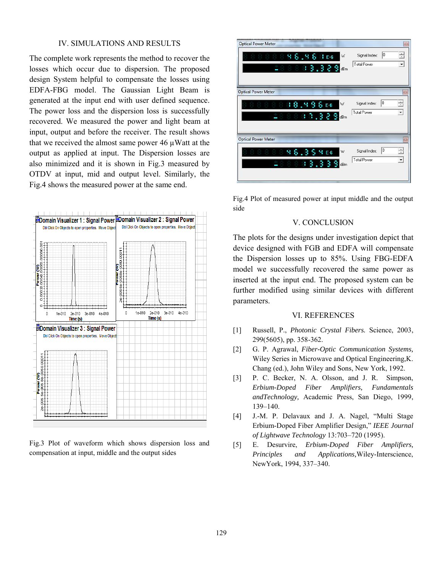#### IV. SIMULATIONS AND RESULTS

The complete work represents the method to recover the losses which occur due to dispersion. The proposed design System helpful to compensate the losses using EDFA-FBG model. The Gaussian Light Beam is generated at the input end with user defined sequence. The power loss and the dispersion loss is successfully recovered. We measured the power and light beam at input, output and before the receiver. The result shows that we received the almost same power  $46 \mu$ Watt at the output as applied at input. The Dispersion losses are also minimized and it is shown in Fig.3 measured by OTDV at input, mid and output level. Similarly, the Fig.4 shows the measured power at the same end.



Fig.3 Plot of waveform which shows dispersion loss and compensation at input, middle and the output sides

| <b>Optical Power Meter</b><br>888888,881E6<br>W<br>288833.389cm           | Signal Index:<br><b>Total Power</b> | $\mathbb{Z}$<br>lo.<br>Ė<br>$\overline{\phantom{a}}$ |
|---------------------------------------------------------------------------|-------------------------------------|------------------------------------------------------|
| <b>Optical Power Meter</b><br>8 8 9 8 9 8 8 8 6 F<br>١w<br>188880.389 dem | Signal Index:<br><b>Total Power</b> | $\mathbb{Z}$<br>10<br>Ë<br>$\blacktriangledown$      |
| <b>Optical Power Meter</b><br>888888,3586<br>W<br>188833.333<br>dBm       | Signal Index:<br><b>Total Power</b> | $^{23}$<br>10<br>Ë<br>$\overline{\phantom{a}}$       |

Fig.4 Plot of measured power at input middle and the output side

## V. CONCLUSION

The plots for the designs under investigation depict that device designed with FGB and EDFA will compensate the Dispersion losses up to 85%. Using FBG-EDFA model we successfully recovered the same power as inserted at the input end. The proposed system can be further modified using similar devices with different parameters.

#### VI. REFERENCES

- [1] Russell, P., *Photonic Crystal Fibers.* Science, 2003, 299(5605), pp. 358-362.
- [2] G. P. Agrawal, *Fiber-Optic Communication Systems,*  Wiley Series in Microwave and Optical Engineering,K. Chang (ed.), John Wiley and Sons, New York, 1992.
- [3] P. C. Becker, N. A. Olsson, and J. R. Simpson, *Erbium-Doped Fiber Amplifiers, Fundamentals andTechnology,* Academic Press, San Diego, 1999, 139–140.
- [4] J.-M. P. Delavaux and J. A. Nagel, "Multi Stage Erbium-Doped Fiber Amplifier Design," *IEEE Journal of Lightwave Technology* 13:703–720 (1995).
- [5] E. Desurvire, *Erbium-Doped Fiber Amplifiers, Principles and Applications,*Wiley-Interscience, NewYork, 1994, 337–340.